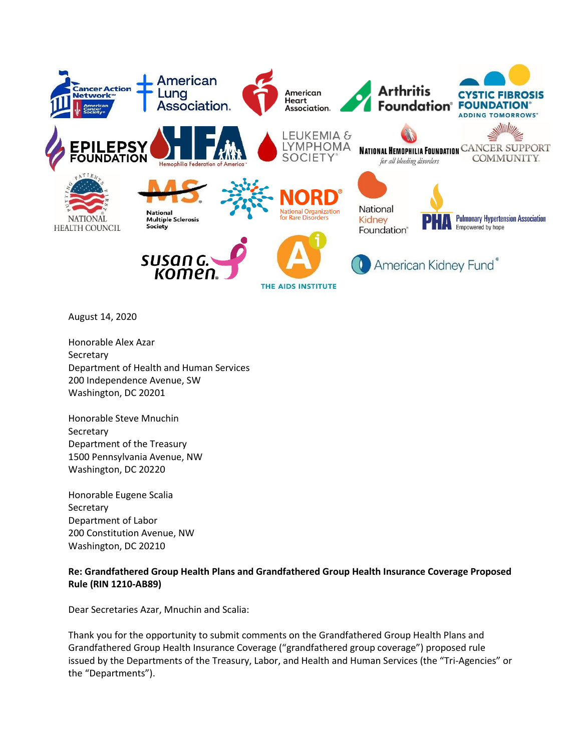

August 14, 2020

Honorable Alex Azar **Secretary** Department of Health and Human Services 200 Independence Avenue, SW Washington, DC 20201

Honorable Steve Mnuchin **Secretary** Department of the Treasury 1500 Pennsylvania Avenue, NW Washington, DC 20220

Honorable Eugene Scalia **Secretary** Department of Labor 200 Constitution Avenue, NW Washington, DC 20210

## **Re: Grandfathered Group Health Plans and Grandfathered Group Health Insurance Coverage Proposed Rule (RIN 1210-AB89)**

Dear Secretaries Azar, Mnuchin and Scalia:

Thank you for the opportunity to submit comments on the Grandfathered Group Health Plans and Grandfathered Group Health Insurance Coverage ("grandfathered group coverage") proposed rule issued by the Departments of the Treasury, Labor, and Health and Human Services (the "Tri-Agencies" or the "Departments").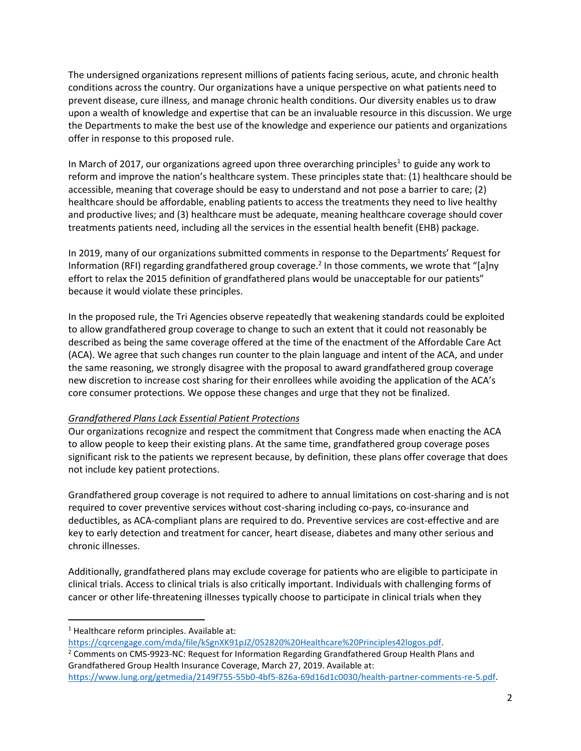The undersigned organizations represent millions of patients facing serious, acute, and chronic health conditions across the country. Our organizations have a unique perspective on what patients need to prevent disease, cure illness, and manage chronic health conditions. Our diversity enables us to draw upon a wealth of knowledge and expertise that can be an invaluable resource in this discussion. We urge the Departments to make the best use of the knowledge and experience our patients and organizations offer in response to this proposed rule.

In March of 2017, our organizations agreed upon three overarching principles<sup>1</sup> to guide any work to reform and improve the nation's healthcare system. These principles state that: (1) healthcare should be accessible, meaning that coverage should be easy to understand and not pose a barrier to care; (2) healthcare should be affordable, enabling patients to access the treatments they need to live healthy and productive lives; and (3) healthcare must be adequate, meaning healthcare coverage should cover treatments patients need, including all the services in the essential health benefit (EHB) package.

In 2019, many of our organizations submitted comments in response to the Departments' Request for Information (RFI) regarding grandfathered group coverage.<sup>2</sup> In those comments, we wrote that "[a]ny effort to relax the 2015 definition of grandfathered plans would be unacceptable for our patients" because it would violate these principles.

In the proposed rule, the Tri Agencies observe repeatedly that weakening standards could be exploited to allow grandfathered group coverage to change to such an extent that it could not reasonably be described as being the same coverage offered at the time of the enactment of the Affordable Care Act (ACA). We agree that such changes run counter to the plain language and intent of the ACA, and under the same reasoning, we strongly disagree with the proposal to award grandfathered group coverage new discretion to increase cost sharing for their enrollees while avoiding the application of the ACA's core consumer protections. We oppose these changes and urge that they not be finalized.

## *Grandfathered Plans Lack Essential Patient Protections*

Our organizations recognize and respect the commitment that Congress made when enacting the ACA to allow people to keep their existing plans. At the same time, grandfathered group coverage poses significant risk to the patients we represent because, by definition, these plans offer coverage that does not include key patient protections.

Grandfathered group coverage is not required to adhere to annual limitations on cost-sharing and is not required to cover preventive services without cost-sharing including co-pays, co-insurance and deductibles, as ACA-compliant plans are required to do. Preventive services are cost-effective and are key to early detection and treatment for cancer, heart disease, diabetes and many other serious and chronic illnesses.

Additionally, grandfathered plans may exclude coverage for patients who are eligible to participate in clinical trials. Access to clinical trials is also critically important. Individuals with challenging forms of cancer or other life-threatening illnesses typically choose to participate in clinical trials when they

<sup>1</sup> Healthcare reform principles. Available at:

[https://cqrcengage.com/mda/file/kSgnXK91pJZ/052820%20Healthcare%20Principles42logos.pdf.](https://cqrcengage.com/mda/file/kSgnXK91pJZ/052820%20Healthcare%20Principles42logos.pdf) <sup>2</sup> Comments on CMS-9923-NC: Request for Information Regarding Grandfathered Group Health Plans and Grandfathered Group Health Insurance Coverage, March 27, 2019. Available at: [https://www.lung.org/getmedia/2149f755-55b0-4bf5-826a-69d16d1c0030/health-partner-comments-re-5.pdf.](https://www.lung.org/getmedia/2149f755-55b0-4bf5-826a-69d16d1c0030/health-partner-comments-re-5.pdf)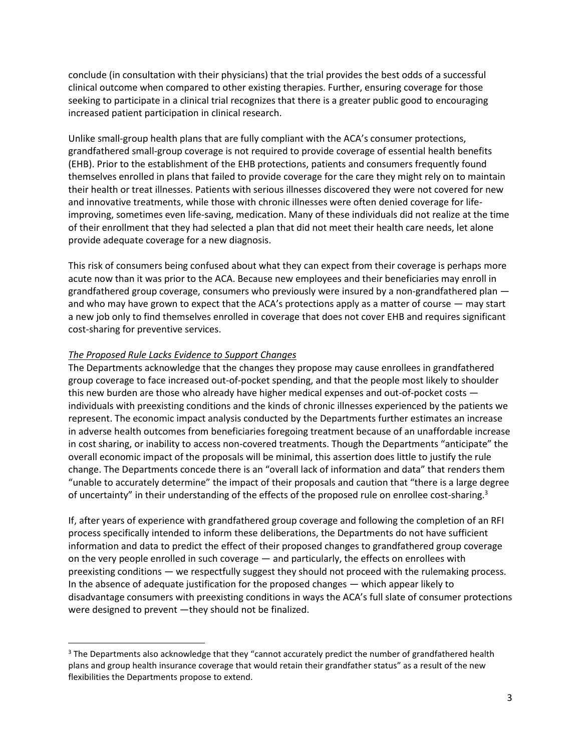conclude (in consultation with their physicians) that the trial provides the best odds of a successful clinical outcome when compared to other existing therapies. Further, ensuring coverage for those seeking to participate in a clinical trial recognizes that there is a greater public good to encouraging increased patient participation in clinical research.

Unlike small-group health plans that are fully compliant with the ACA's consumer protections, grandfathered small-group coverage is not required to provide coverage of essential health benefits (EHB). Prior to the establishment of the EHB protections, patients and consumers frequently found themselves enrolled in plans that failed to provide coverage for the care they might rely on to maintain their health or treat illnesses. Patients with serious illnesses discovered they were not covered for new and innovative treatments, while those with chronic illnesses were often denied coverage for lifeimproving, sometimes even life-saving, medication. Many of these individuals did not realize at the time of their enrollment that they had selected a plan that did not meet their health care needs, let alone provide adequate coverage for a new diagnosis.

This risk of consumers being confused about what they can expect from their coverage is perhaps more acute now than it was prior to the ACA. Because new employees and their beneficiaries may enroll in grandfathered group coverage, consumers who previously were insured by a non-grandfathered plan and who may have grown to expect that the ACA's protections apply as a matter of course — may start a new job only to find themselves enrolled in coverage that does not cover EHB and requires significant cost-sharing for preventive services.

## *The Proposed Rule Lacks Evidence to Support Changes*

The Departments acknowledge that the changes they propose may cause enrollees in grandfathered group coverage to face increased out-of-pocket spending, and that the people most likely to shoulder this new burden are those who already have higher medical expenses and out-of-pocket costs individuals with preexisting conditions and the kinds of chronic illnesses experienced by the patients we represent. The economic impact analysis conducted by the Departments further estimates an increase in adverse health outcomes from beneficiaries foregoing treatment because of an unaffordable increase in cost sharing, or inability to access non-covered treatments. Though the Departments "anticipate" the overall economic impact of the proposals will be minimal, this assertion does little to justify the rule change. The Departments concede there is an "overall lack of information and data" that renders them "unable to accurately determine" the impact of their proposals and caution that "there is a large degree of uncertainty" in their understanding of the effects of the proposed rule on enrollee cost-sharing.<sup>3</sup>

If, after years of experience with grandfathered group coverage and following the completion of an RFI process specifically intended to inform these deliberations, the Departments do not have sufficient information and data to predict the effect of their proposed changes to grandfathered group coverage on the very people enrolled in such coverage — and particularly, the effects on enrollees with preexisting conditions — we respectfully suggest they should not proceed with the rulemaking process. In the absence of adequate justification for the proposed changes — which appear likely to disadvantage consumers with preexisting conditions in ways the ACA's full slate of consumer protections were designed to prevent —they should not be finalized.

<sup>&</sup>lt;sup>3</sup> The Departments also acknowledge that they "cannot accurately predict the number of grandfathered health plans and group health insurance coverage that would retain their grandfather status" as a result of the new flexibilities the Departments propose to extend.